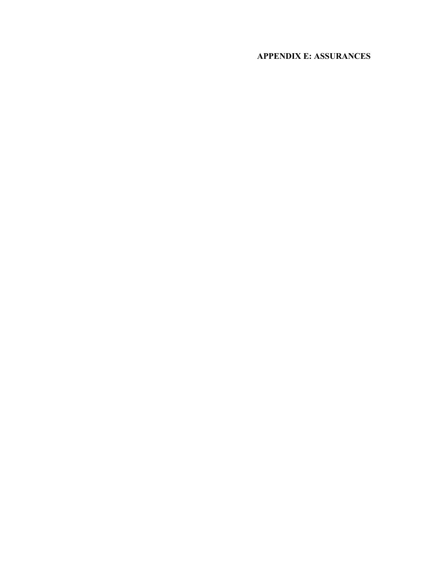# **APPENDIX E: ASSURANCES**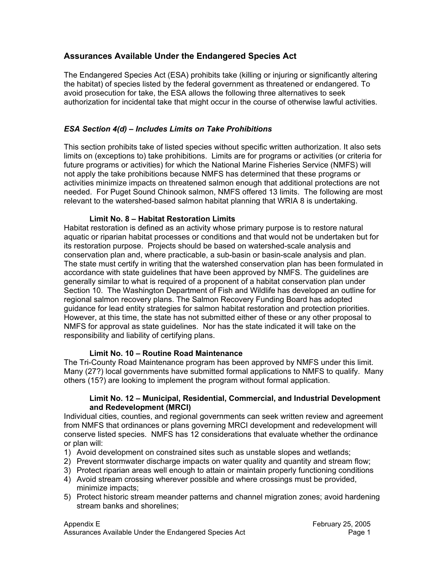# **Assurances Available Under the Endangered Species Act**

The Endangered Species Act (ESA) prohibits take (killing or injuring or significantly altering the habitat) of species listed by the federal government as threatened or endangered. To avoid prosecution for take, the ESA allows the following three alternatives to seek authorization for incidental take that might occur in the course of otherwise lawful activities.

# *ESA Section 4(d) – Includes Limits on Take Prohibitions*

This section prohibits take of listed species without specific written authorization. It also sets limits on (exceptions to) take prohibitions. Limits are for programs or activities (or criteria for future programs or activities) for which the National Marine Fisheries Service (NMFS) will not apply the take prohibitions because NMFS has determined that these programs or activities minimize impacts on threatened salmon enough that additional protections are not needed. For Puget Sound Chinook salmon, NMFS offered 13 limits. The following are most relevant to the watershed-based salmon habitat planning that WRIA 8 is undertaking.

# **Limit No. 8 – Habitat Restoration Limits**

Habitat restoration is defined as an activity whose primary purpose is to restore natural aquatic or riparian habitat processes or conditions and that would not be undertaken but for its restoration purpose. Projects should be based on watershed-scale analysis and conservation plan and, where practicable, a sub-basin or basin-scale analysis and plan. The state must certify in writing that the watershed conservation plan has been formulated in accordance with state guidelines that have been approved by NMFS. The guidelines are generally similar to what is required of a proponent of a habitat conservation plan under Section 10. The Washington Department of Fish and Wildlife has developed an outline for regional salmon recovery plans. The Salmon Recovery Funding Board has adopted guidance for lead entity strategies for salmon habitat restoration and protection priorities. However, at this time, the state has not submitted either of these or any other proposal to NMFS for approval as state guidelines. Nor has the state indicated it will take on the responsibility and liability of certifying plans.

#### **Limit No. 10 – Routine Road Maintenance**

The Tri-County Road Maintenance program has been approved by NMFS under this limit. Many (27?) local governments have submitted formal applications to NMFS to qualify. Many others (15?) are looking to implement the program without formal application.

#### **Limit No. 12 – Municipal, Residential, Commercial, and Industrial Development and Redevelopment (MRCI)**

Individual cities, counties, and regional governments can seek written review and agreement from NMFS that ordinances or plans governing MRCI development and redevelopment will conserve listed species. NMFS has 12 considerations that evaluate whether the ordinance or plan will:

- 1) Avoid development on constrained sites such as unstable slopes and wetlands;
- 2) Prevent stormwater discharge impacts on water quality and quantity and stream flow;
- 3) Protect riparian areas well enough to attain or maintain properly functioning conditions
- 4) Avoid stream crossing wherever possible and where crossings must be provided, minimize impacts;
- 5) Protect historic stream meander patterns and channel migration zones; avoid hardening stream banks and shorelines;